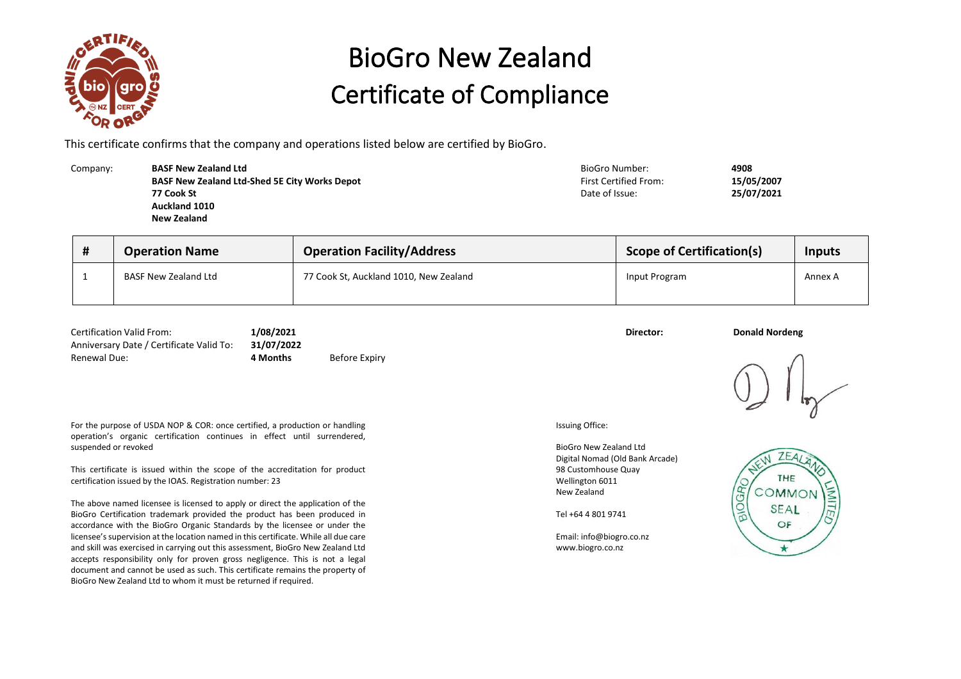

## BioGro New Zealand Certificate of Compliance

This certificate confirms that the company and operations listed below are certified by BioGro.

| Company: | <b>BASF New Zealand Ltd</b>                          | BioGro Number:               | 4908       |
|----------|------------------------------------------------------|------------------------------|------------|
|          | <b>BASF New Zealand Ltd-Shed 5E City Works Depot</b> | <b>First Certified From:</b> | 15/05/2007 |
|          | 77 Cook St                                           | Date of Issue:               | 25/07/2021 |
|          | Auckland 1010                                        |                              |            |
|          | New Zealand                                          |                              |            |
|          |                                                      |                              |            |

| $\bm{\pi}$ | <b>Operation Name</b>       | <b>Operation Facility/Address</b>      | <b>Scope of Certification(s)</b> | <b>Inputs</b> |
|------------|-----------------------------|----------------------------------------|----------------------------------|---------------|
|            | <b>BASF New Zealand Ltd</b> | 77 Cook St, Auckland 1010, New Zealand | Input Program                    | Annex A       |

| <b>Certification Valid From:</b>         | 1/08/2021<br>31/07/2022 |               | Director: | <b>Donald Nordeng</b> |
|------------------------------------------|-------------------------|---------------|-----------|-----------------------|
| Anniversary Date / Certificate Valid To: |                         |               |           |                       |
| Renewal Due:                             | l Months                | Before Expiry |           |                       |

For the purpose of USDA NOP & COR: once certified, a production or handling operation's organic certification continues in effect until surrendered, suspended or revoked

This certificate is issued within the scope of the accreditation for product certification issued by the IOAS. Registration number: 23

The above named licensee is licensed to apply or direct the application of the BioGro Certification trademark provided the product has been produced in accordance with the BioGro Organic Standards by the licensee or under the licensee's supervision at the location named in this certificate. While all due care and skill was exercised in carrying out this assessment, BioGro New Zealand Ltd accepts responsibility only for proven gross negligence. This is not a legal document and cannot be used as such. This certificate remains the property of BioGro New Zealand Ltd to whom it must be returned if required.

Issuing Office:

BioGro New Zealand Ltd Digital Nomad (Old Bank Arcade) 98 Customhouse Quay Wellington 6011 New Zealand

Tel +64 4 801 9741

Email: info@biogro.co.nz www.biogro.co.nz